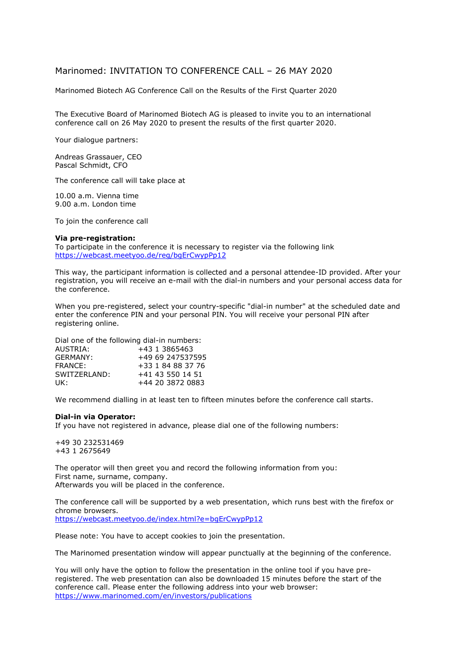## Marinomed: INVITATION TO CONFERENCE CALL – 26 MAY 2020

Marinomed Biotech AG Conference Call on the Results of the First Quarter 2020

The Executive Board of Marinomed Biotech AG is pleased to invite you to an international conference call on 26 May 2020 to present the results of the first quarter 2020.

Your dialogue partners:

Andreas Grassauer, CEO Pascal Schmidt, CFO

The conference call will take place at

10.00 a.m. Vienna time 9.00 a.m. London time

To join the conference call

## **Via pre-registration:**

To participate in the conference it is necessary to register via the following link <https://webcast.meetyoo.de/reg/bgErCwypPp12>

This way, the participant information is collected and a personal attendee-ID provided. After your registration, you will receive an e-mail with the dial-in numbers and your personal access data for the conference.

When you pre-registered, select your country-specific "dial-in number" at the scheduled date and enter the conference PIN and your personal PIN. You will receive your personal PIN after registering online.

Dial one of the following dial-in numbers:

| AUSTRIA:      | +43 1 3865463     |
|---------------|-------------------|
| GFRMANY:      | +49 69 247537595  |
| FRANCE:       | +33 1 84 88 37 76 |
| SWITZERI AND: | +41 43 550 14 51  |
| UK:           | +44 20 3872 0883  |

We recommend dialling in at least ten to fifteen minutes before the conference call starts.

## **Dial-in via Operator:**

If you have not registered in advance, please dial one of the following numbers:

+49 30 232531469 +43 1 2675649

The operator will then greet you and record the following information from you: First name, surname, company. Afterwards you will be placed in the conference.

The conference call will be supported by a web presentation, which runs best with the firefox or chrome browsers. <https://webcast.meetyoo.de/index.html?e=bgErCwypPp12>

Please note: You have to accept cookies to join the presentation.

The Marinomed presentation window will appear punctually at the beginning of the conference.

You will only have the option to follow the presentation in the online tool if you have preregistered. The web presentation can also be downloaded 15 minutes before the start of the conference call. Please enter the following address into your web browser: <https://www.marinomed.com/en/investors/publications>